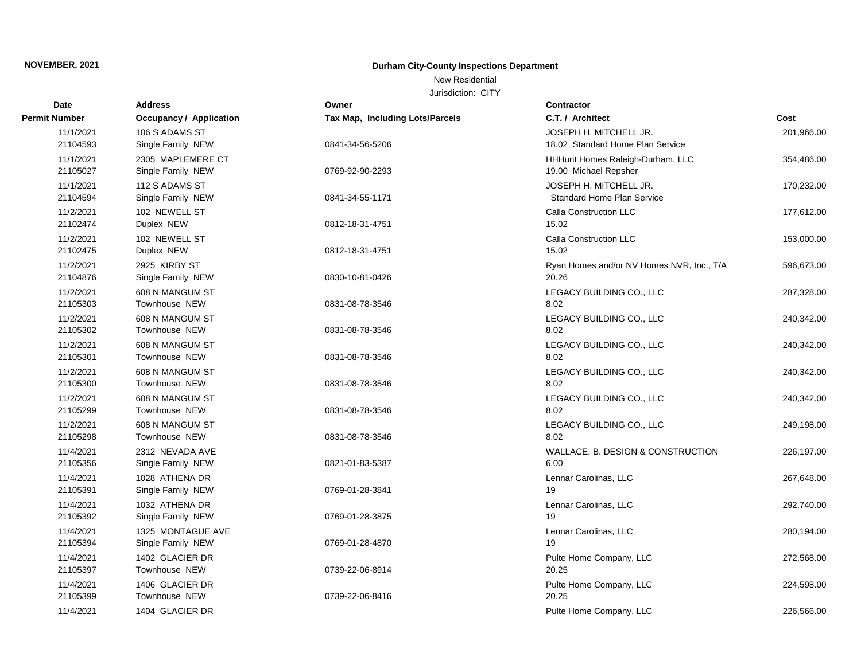### New Residential

| <b>Date</b>           | <b>Address</b>                          | Owner                           | Contractor                                                  |            |
|-----------------------|-----------------------------------------|---------------------------------|-------------------------------------------------------------|------------|
| Permit Number         | <b>Occupancy / Application</b>          | Tax Map, Including Lots/Parcels | C.T. / Architect                                            | Cost       |
| 11/1/2021<br>21104593 | 106 S ADAMS ST<br>Single Family NEW     | 0841-34-56-5206                 | JOSEPH H. MITCHELL JR.<br>18.02 Standard Home Plan Service  | 201,966.00 |
| 11/1/2021<br>21105027 | 2305 MAPLEMERE CT<br>Single Family NEW  | 0769-92-90-2293                 | HHHunt Homes Raleigh-Durham, LLC<br>19.00 Michael Repsher   | 354,486.00 |
| 11/1/2021<br>21104594 | 112 S ADAMS ST<br>Single Family NEW     | 0841-34-55-1171                 | JOSEPH H. MITCHELL JR.<br><b>Standard Home Plan Service</b> | 170,232.00 |
| 11/2/2021<br>21102474 | 102 NEWELL ST<br>Duplex NEW             | 0812-18-31-4751                 | Calla Construction LLC<br>15.02                             | 177,612.00 |
| 11/2/2021<br>21102475 | 102 NEWELL ST<br>Duplex NEW             | 0812-18-31-4751                 | Calla Construction LLC<br>15.02                             | 153,000.00 |
| 11/2/2021<br>21104876 | 2925 KIRBY ST<br>Single Family NEW      | 0830-10-81-0426                 | Ryan Homes and/or NV Homes NVR, Inc., T/A<br>20.26          | 596,673.00 |
| 11/2/2021<br>21105303 | 608 N MANGUM ST<br>Townhouse NEW        | 0831-08-78-3546                 | LEGACY BUILDING CO., LLC<br>8.02                            | 287,328.00 |
| 11/2/2021<br>21105302 | 608 N MANGUM ST<br>Townhouse NEW        | 0831-08-78-3546                 | LEGACY BUILDING CO., LLC<br>8.02                            | 240,342.00 |
| 11/2/2021<br>21105301 | 608 N MANGUM ST<br>Townhouse NEW        | 0831-08-78-3546                 | LEGACY BUILDING CO., LLC<br>8.02                            | 240,342.00 |
| 11/2/2021<br>21105300 | 608 N MANGUM ST<br>Townhouse NEW        | 0831-08-78-3546                 | LEGACY BUILDING CO., LLC<br>8.02                            | 240,342.00 |
| 11/2/2021<br>21105299 | 608 N MANGUM ST<br><b>Townhouse NEW</b> | 0831-08-78-3546                 | LEGACY BUILDING CO., LLC<br>8.02                            | 240,342.00 |
| 11/2/2021<br>21105298 | 608 N MANGUM ST<br>Townhouse NEW        | 0831-08-78-3546                 | LEGACY BUILDING CO., LLC<br>8.02                            | 249,198.00 |
| 11/4/2021<br>21105356 | 2312 NEVADA AVE<br>Single Family NEW    | 0821-01-83-5387                 | WALLACE, B. DESIGN & CONSTRUCTION<br>6.00                   | 226,197.00 |
| 11/4/2021<br>21105391 | 1028 ATHENA DR<br>Single Family NEW     | 0769-01-28-3841                 | Lennar Carolinas, LLC<br>19                                 | 267,648.00 |
| 11/4/2021<br>21105392 | 1032 ATHENA DR<br>Single Family NEW     | 0769-01-28-3875                 | Lennar Carolinas, LLC<br>19                                 | 292,740.00 |
| 11/4/2021<br>21105394 | 1325 MONTAGUE AVE<br>Single Family NEW  | 0769-01-28-4870                 | Lennar Carolinas, LLC<br>19                                 | 280,194.00 |
| 11/4/2021<br>21105397 | 1402 GLACIER DR<br>Townhouse NEW        | 0739-22-06-8914                 | Pulte Home Company, LLC<br>20.25                            | 272,568.00 |
| 11/4/2021<br>21105399 | 1406 GLACIER DR<br>Townhouse NEW        | 0739-22-06-8416                 | Pulte Home Company, LLC<br>20.25                            | 224,598.00 |
| 11/4/2021             | 1404 GLACIER DR                         |                                 | Pulte Home Company, LLC                                     | 226,566.00 |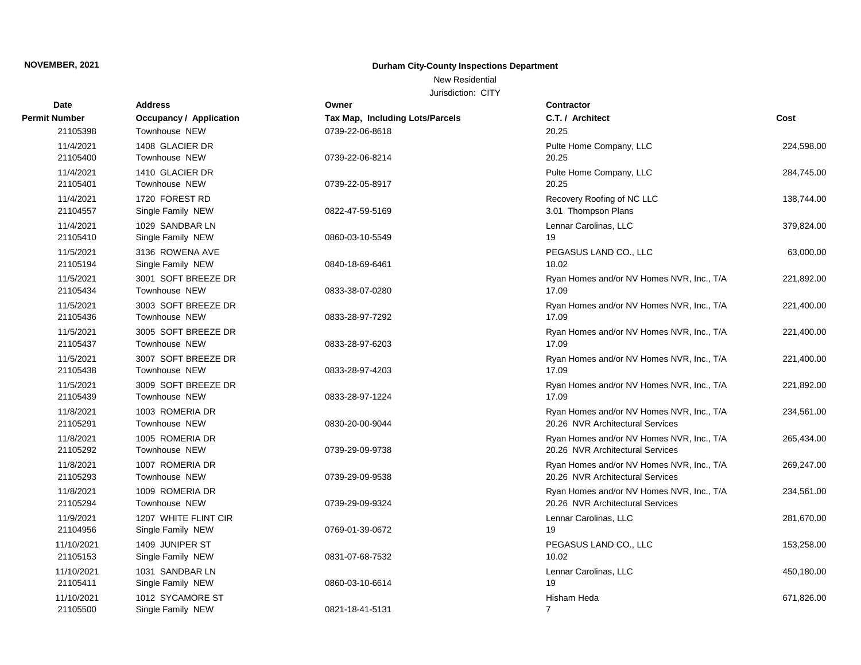### New Residential

| Date                   | <b>Address</b>                            | Owner                           | <b>Contractor</b>                                                             |            |
|------------------------|-------------------------------------------|---------------------------------|-------------------------------------------------------------------------------|------------|
| Permit Number          | Occupancy / Application                   | Tax Map, Including Lots/Parcels | C.T. / Architect                                                              | Cost       |
| 21105398               | Townhouse NEW                             | 0739-22-06-8618                 | 20.25                                                                         |            |
| 11/4/2021<br>21105400  | 1408 GLACIER DR<br>Townhouse NEW          | 0739-22-06-8214                 | Pulte Home Company, LLC<br>20.25                                              | 224,598.00 |
|                        |                                           |                                 |                                                                               |            |
| 11/4/2021<br>21105401  | 1410 GLACIER DR<br>Townhouse NEW          | 0739-22-05-8917                 | Pulte Home Company, LLC<br>20.25                                              | 284,745.00 |
| 11/4/2021<br>21104557  | 1720 FOREST RD<br>Single Family NEW       | 0822-47-59-5169                 | Recovery Roofing of NC LLC<br>3.01 Thompson Plans                             | 138,744.00 |
| 11/4/2021<br>21105410  | 1029 SANDBAR LN<br>Single Family NEW      | 0860-03-10-5549                 | Lennar Carolinas, LLC<br>19                                                   | 379,824.00 |
| 11/5/2021<br>21105194  | 3136 ROWENA AVE<br>Single Family NEW      | 0840-18-69-6461                 | PEGASUS LAND CO., LLC<br>18.02                                                | 63,000.00  |
| 11/5/2021<br>21105434  | 3001 SOFT BREEZE DR<br>Townhouse NEW      | 0833-38-07-0280                 | Ryan Homes and/or NV Homes NVR, Inc., T/A<br>17.09                            | 221,892.00 |
| 11/5/2021<br>21105436  | 3003 SOFT BREEZE DR<br>Townhouse NEW      | 0833-28-97-7292                 | Ryan Homes and/or NV Homes NVR, Inc., T/A<br>17.09                            | 221,400.00 |
| 11/5/2021<br>21105437  | 3005 SOFT BREEZE DR<br>Townhouse NEW      | 0833-28-97-6203                 | Ryan Homes and/or NV Homes NVR, Inc., T/A<br>17.09                            | 221,400.00 |
| 11/5/2021<br>21105438  | 3007 SOFT BREEZE DR<br>Townhouse NEW      | 0833-28-97-4203                 | Ryan Homes and/or NV Homes NVR, Inc., T/A<br>17.09                            | 221,400.00 |
| 11/5/2021<br>21105439  | 3009 SOFT BREEZE DR<br>Townhouse NEW      | 0833-28-97-1224                 | Ryan Homes and/or NV Homes NVR, Inc., T/A<br>17.09                            | 221,892.00 |
| 11/8/2021<br>21105291  | 1003 ROMERIA DR<br><b>Townhouse NEW</b>   | 0830-20-00-9044                 | Ryan Homes and/or NV Homes NVR, Inc., T/A<br>20.26 NVR Architectural Services | 234,561.00 |
| 11/8/2021<br>21105292  | 1005 ROMERIA DR<br><b>Townhouse NEW</b>   | 0739-29-09-9738                 | Ryan Homes and/or NV Homes NVR, Inc., T/A<br>20.26 NVR Architectural Services | 265,434.00 |
| 11/8/2021<br>21105293  | 1007 ROMERIA DR<br>Townhouse NEW          | 0739-29-09-9538                 | Ryan Homes and/or NV Homes NVR, Inc., T/A<br>20.26 NVR Architectural Services | 269,247.00 |
| 11/8/2021<br>21105294  | 1009 ROMERIA DR<br>Townhouse NEW          | 0739-29-09-9324                 | Ryan Homes and/or NV Homes NVR, Inc., T/A<br>20.26 NVR Architectural Services | 234,561.00 |
| 11/9/2021<br>21104956  | 1207 WHITE FLINT CIR<br>Single Family NEW | 0769-01-39-0672                 | Lennar Carolinas, LLC<br>19                                                   | 281,670.00 |
| 11/10/2021<br>21105153 | 1409 JUNIPER ST<br>Single Family NEW      | 0831-07-68-7532                 | PEGASUS LAND CO., LLC<br>10.02                                                | 153,258.00 |
| 11/10/2021<br>21105411 | 1031 SANDBAR LN<br>Single Family NEW      | 0860-03-10-6614                 | Lennar Carolinas, LLC<br>19                                                   | 450,180.00 |
| 11/10/2021<br>21105500 | 1012 SYCAMORE ST<br>Single Family NEW     | 0821-18-41-5131                 | Hisham Heda<br>$\overline{7}$                                                 | 671,826.00 |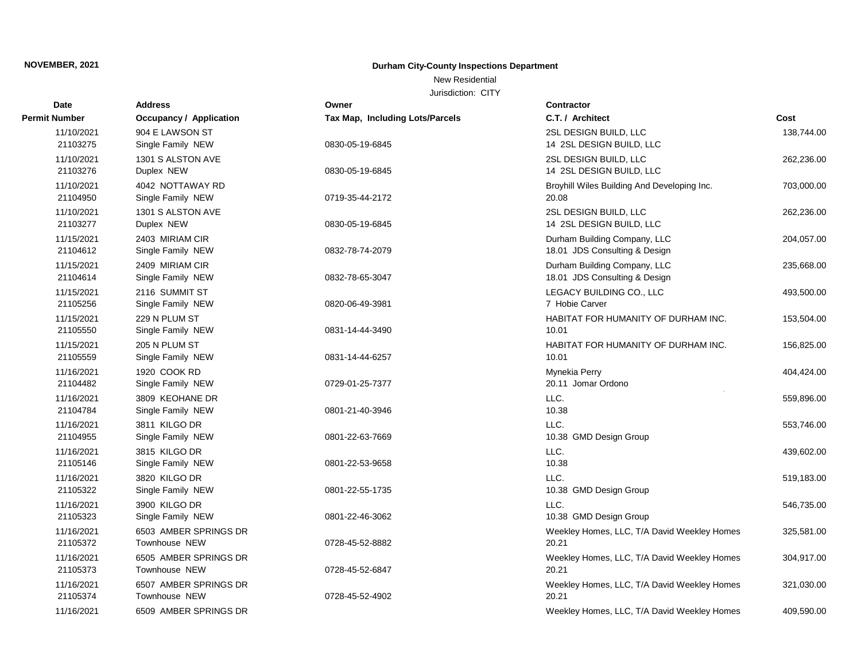### New Residential

| <b>Date</b>            | <b>Address</b>                                | Owner                           | <b>Contractor</b>                                             |            |
|------------------------|-----------------------------------------------|---------------------------------|---------------------------------------------------------------|------------|
| Permit Number          | Occupancy / Application                       | Tax Map, Including Lots/Parcels | C.T. / Architect                                              | Cost       |
| 11/10/2021<br>21103275 | 904 E LAWSON ST<br>Single Family NEW          | 0830-05-19-6845                 | 2SL DESIGN BUILD, LLC<br>14 2SL DESIGN BUILD, LLC             | 138,744.00 |
| 11/10/2021<br>21103276 | 1301 S ALSTON AVE<br>Duplex NEW               | 0830-05-19-6845                 | 2SL DESIGN BUILD, LLC<br>14 2SL DESIGN BUILD, LLC             | 262,236.00 |
| 11/10/2021<br>21104950 | 4042 NOTTAWAY RD<br>Single Family NEW         | 0719-35-44-2172                 | Broyhill Wiles Building And Developing Inc.<br>20.08          | 703,000.00 |
| 11/10/2021<br>21103277 | 1301 S ALSTON AVE<br>Duplex NEW               | 0830-05-19-6845                 | 2SL DESIGN BUILD, LLC<br>14 2SL DESIGN BUILD, LLC             | 262,236.00 |
| 11/15/2021<br>21104612 | 2403 MIRIAM CIR<br>Single Family NEW          | 0832-78-74-2079                 | Durham Building Company, LLC<br>18.01 JDS Consulting & Design | 204,057.00 |
| 11/15/2021<br>21104614 | 2409 MIRIAM CIR<br>Single Family NEW          | 0832-78-65-3047                 | Durham Building Company, LLC<br>18.01 JDS Consulting & Design | 235,668.00 |
| 11/15/2021<br>21105256 | 2116 SUMMIT ST<br>Single Family NEW           | 0820-06-49-3981                 | LEGACY BUILDING CO., LLC<br>7 Hobie Carver                    | 493,500.00 |
| 11/15/2021<br>21105550 | 229 N PLUM ST<br>Single Family NEW            | 0831-14-44-3490                 | HABITAT FOR HUMANITY OF DURHAM INC.<br>10.01                  | 153,504.00 |
| 11/15/2021<br>21105559 | 205 N PLUM ST<br>Single Family NEW            | 0831-14-44-6257                 | HABITAT FOR HUMANITY OF DURHAM INC.<br>10.01                  | 156,825.00 |
| 11/16/2021<br>21104482 | 1920 COOK RD<br>Single Family NEW             | 0729-01-25-7377                 | Mynekia Perry<br>20.11 Jomar Ordono                           | 404,424.00 |
| 11/16/2021<br>21104784 | 3809 KEOHANE DR<br>Single Family NEW          | 0801-21-40-3946                 | LLC.<br>10.38                                                 | 559,896.00 |
| 11/16/2021<br>21104955 | 3811 KILGO DR<br>Single Family NEW            | 0801-22-63-7669                 | LLC.<br>10.38 GMD Design Group                                | 553,746.00 |
| 11/16/2021<br>21105146 | 3815 KILGO DR<br>Single Family NEW            | 0801-22-53-9658                 | LLC.<br>10.38                                                 | 439,602.00 |
| 11/16/2021<br>21105322 | 3820 KILGO DR<br>Single Family NEW            | 0801-22-55-1735                 | LLC.<br>10.38 GMD Design Group                                | 519,183.00 |
| 11/16/2021<br>21105323 | 3900 KILGO DR<br>Single Family NEW            | 0801-22-46-3062                 | LLC.<br>10.38 GMD Design Group                                | 546,735.00 |
| 11/16/2021<br>21105372 | 6503 AMBER SPRINGS DR<br>Townhouse NEW        | 0728-45-52-8882                 | Weekley Homes, LLC, T/A David Weekley Homes<br>20.21          | 325,581.00 |
| 11/16/2021<br>21105373 | 6505 AMBER SPRINGS DR<br>Townhouse NEW        | 0728-45-52-6847                 | Weekley Homes, LLC, T/A David Weekley Homes<br>20.21          | 304,917.00 |
| 11/16/2021<br>21105374 | 6507 AMBER SPRINGS DR<br><b>Townhouse NEW</b> | 0728-45-52-4902                 | Weekley Homes, LLC, T/A David Weekley Homes<br>20.21          | 321,030.00 |
| 11/16/2021             | 6509 AMBER SPRINGS DR                         |                                 | Weekley Homes, LLC, T/A David Weekley Homes                   | 409,590.00 |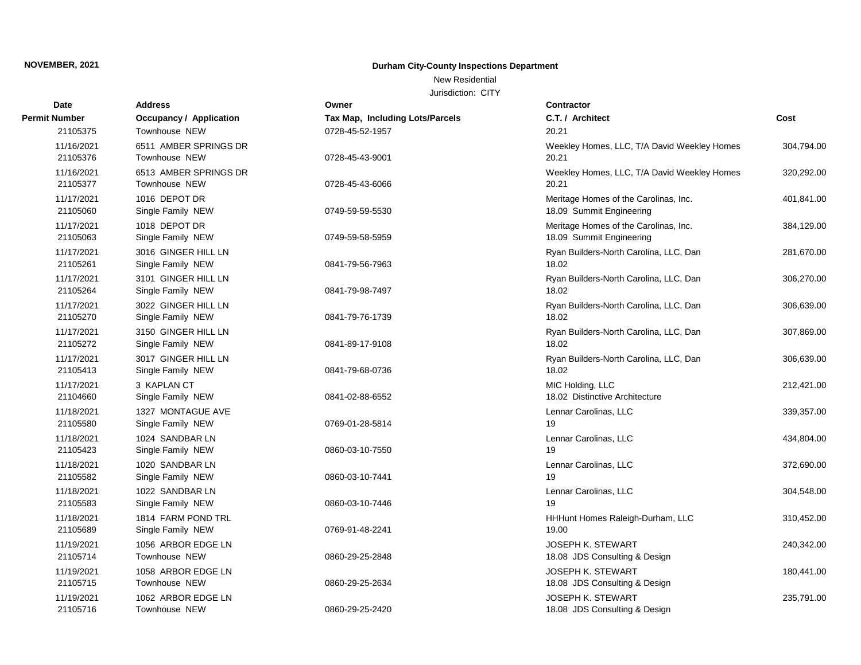### New Residential

| <b>Date</b>            | <b>Address</b>                           | Owner                           | Contractor                                                        |            |
|------------------------|------------------------------------------|---------------------------------|-------------------------------------------------------------------|------------|
| <b>Permit Number</b>   | <b>Occupancy / Application</b>           | Tax Map, Including Lots/Parcels | C.T. / Architect                                                  | Cost       |
| 21105375               | Townhouse NEW                            | 0728-45-52-1957                 | 20.21                                                             |            |
| 11/16/2021<br>21105376 | 6511 AMBER SPRINGS DR<br>Townhouse NEW   | 0728-45-43-9001                 | Weekley Homes, LLC, T/A David Weekley Homes<br>20.21              | 304,794.00 |
| 11/16/2021<br>21105377 | 6513 AMBER SPRINGS DR<br>Townhouse NEW   | 0728-45-43-6066                 | Weekley Homes, LLC, T/A David Weekley Homes<br>20.21              | 320,292.00 |
| 11/17/2021<br>21105060 | 1016 DEPOT DR<br>Single Family NEW       | 0749-59-59-5530                 | Meritage Homes of the Carolinas, Inc.<br>18.09 Summit Engineering | 401,841.00 |
| 11/17/2021<br>21105063 | 1018 DEPOT DR<br>Single Family NEW       | 0749-59-58-5959                 | Meritage Homes of the Carolinas, Inc.<br>18.09 Summit Engineering | 384,129.00 |
| 11/17/2021<br>21105261 | 3016 GINGER HILL LN<br>Single Family NEW | 0841-79-56-7963                 | Ryan Builders-North Carolina, LLC, Dan<br>18.02                   | 281,670.00 |
| 11/17/2021<br>21105264 | 3101 GINGER HILL LN<br>Single Family NEW | 0841-79-98-7497                 | Ryan Builders-North Carolina, LLC, Dan<br>18.02                   | 306,270.00 |
| 11/17/2021<br>21105270 | 3022 GINGER HILL LN<br>Single Family NEW | 0841-79-76-1739                 | Ryan Builders-North Carolina, LLC, Dan<br>18.02                   | 306,639.00 |
| 11/17/2021<br>21105272 | 3150 GINGER HILL LN<br>Single Family NEW | 0841-89-17-9108                 | Ryan Builders-North Carolina, LLC, Dan<br>18.02                   | 307,869.00 |
| 11/17/2021<br>21105413 | 3017 GINGER HILL LN<br>Single Family NEW | 0841-79-68-0736                 | Ryan Builders-North Carolina, LLC, Dan<br>18.02                   | 306,639.00 |
| 11/17/2021<br>21104660 | 3 KAPLAN CT<br>Single Family NEW         | 0841-02-88-6552                 | MIC Holding, LLC<br>18.02 Distinctive Architecture                | 212,421.00 |
| 11/18/2021<br>21105580 | 1327 MONTAGUE AVE<br>Single Family NEW   | 0769-01-28-5814                 | Lennar Carolinas, LLC<br>19                                       | 339,357.00 |
| 11/18/2021<br>21105423 | 1024 SANDBAR LN<br>Single Family NEW     | 0860-03-10-7550                 | Lennar Carolinas, LLC<br>19                                       | 434,804.00 |
| 11/18/2021<br>21105582 | 1020 SANDBAR LN<br>Single Family NEW     | 0860-03-10-7441                 | Lennar Carolinas, LLC<br>19                                       | 372,690.00 |
| 11/18/2021<br>21105583 | 1022 SANDBAR LN<br>Single Family NEW     | 0860-03-10-7446                 | Lennar Carolinas, LLC<br>19                                       | 304,548.00 |
| 11/18/2021<br>21105689 | 1814 FARM POND TRL<br>Single Family NEW  | 0769-91-48-2241                 | HHHunt Homes Raleigh-Durham, LLC<br>19.00                         | 310,452.00 |
| 11/19/2021<br>21105714 | 1056 ARBOR EDGE LN<br>Townhouse NEW      | 0860-29-25-2848                 | <b>JOSEPH K. STEWART</b><br>18.08 JDS Consulting & Design         | 240,342.00 |
| 11/19/2021<br>21105715 | 1058 ARBOR EDGE LN<br>Townhouse NEW      | 0860-29-25-2634                 | <b>JOSEPH K. STEWART</b><br>18.08 JDS Consulting & Design         | 180,441.00 |
| 11/19/2021<br>21105716 | 1062 ARBOR EDGE LN<br>Townhouse NEW      | 0860-29-25-2420                 | JOSEPH K. STEWART<br>18.08 JDS Consulting & Design                | 235,791.00 |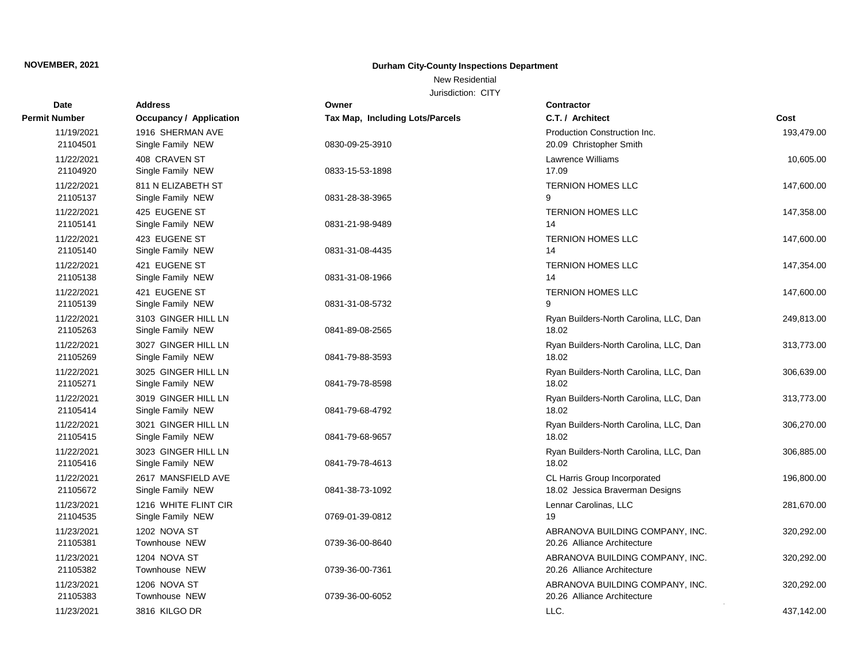### New Residential

| <b>Date</b>            | <b>Address</b>                            | Owner                                  | Contractor                                                      |            |
|------------------------|-------------------------------------------|----------------------------------------|-----------------------------------------------------------------|------------|
| Permit Number          | <b>Occupancy / Application</b>            | <b>Tax Map, Including Lots/Parcels</b> | C.T. / Architect                                                | Cost       |
| 11/19/2021<br>21104501 | 1916 SHERMAN AVE<br>Single Family NEW     | 0830-09-25-3910                        | Production Construction Inc.<br>20.09 Christopher Smith         | 193,479.00 |
| 11/22/2021<br>21104920 | 408 CRAVEN ST<br>Single Family NEW        | 0833-15-53-1898                        | <b>Lawrence Williams</b><br>17.09                               | 10,605.00  |
| 11/22/2021<br>21105137 | 811 N ELIZABETH ST<br>Single Family NEW   | 0831-28-38-3965                        | <b>TERNION HOMES LLC</b><br>9                                   | 147,600.00 |
| 11/22/2021<br>21105141 | 425 EUGENE ST<br>Single Family NEW        | 0831-21-98-9489                        | <b>TERNION HOMES LLC</b><br>14                                  | 147,358.00 |
| 11/22/2021<br>21105140 | 423 EUGENE ST<br>Single Family NEW        | 0831-31-08-4435                        | <b>TERNION HOMES LLC</b><br>14                                  | 147,600.00 |
| 11/22/2021<br>21105138 | 421 EUGENE ST<br>Single Family NEW        | 0831-31-08-1966                        | <b>TERNION HOMES LLC</b><br>14                                  | 147,354.00 |
| 11/22/2021<br>21105139 | 421 EUGENE ST<br>Single Family NEW        | 0831-31-08-5732                        | <b>TERNION HOMES LLC</b><br>$\mathsf{Q}$                        | 147,600.00 |
| 11/22/2021<br>21105263 | 3103 GINGER HILL LN<br>Single Family NEW  | 0841-89-08-2565                        | Ryan Builders-North Carolina, LLC, Dan<br>18.02                 | 249,813.00 |
| 11/22/2021<br>21105269 | 3027 GINGER HILL LN<br>Single Family NEW  | 0841-79-88-3593                        | Ryan Builders-North Carolina, LLC, Dan<br>18.02                 | 313,773.00 |
| 11/22/2021<br>21105271 | 3025 GINGER HILL LN<br>Single Family NEW  | 0841-79-78-8598                        | Ryan Builders-North Carolina, LLC, Dan<br>18.02                 | 306,639.00 |
| 11/22/2021<br>21105414 | 3019 GINGER HILL LN<br>Single Family NEW  | 0841-79-68-4792                        | Ryan Builders-North Carolina, LLC, Dan<br>18.02                 | 313,773.00 |
| 11/22/2021<br>21105415 | 3021 GINGER HILL LN<br>Single Family NEW  | 0841-79-68-9657                        | Ryan Builders-North Carolina, LLC, Dan<br>18.02                 | 306,270.00 |
| 11/22/2021<br>21105416 | 3023 GINGER HILL LN<br>Single Family NEW  | 0841-79-78-4613                        | Ryan Builders-North Carolina, LLC, Dan<br>18.02                 | 306,885.00 |
| 11/22/2021<br>21105672 | 2617 MANSFIELD AVE<br>Single Family NEW   | 0841-38-73-1092                        | CL Harris Group Incorporated<br>18.02 Jessica Braverman Designs | 196,800.00 |
| 11/23/2021<br>21104535 | 1216 WHITE FLINT CIR<br>Single Family NEW | 0769-01-39-0812                        | Lennar Carolinas, LLC<br>19                                     | 281,670.00 |
| 11/23/2021<br>21105381 | 1202 NOVA ST<br>Townhouse NEW             | 0739-36-00-8640                        | ABRANOVA BUILDING COMPANY, INC.<br>20.26 Alliance Architecture  | 320,292.00 |
| 11/23/2021<br>21105382 | 1204 NOVA ST<br>Townhouse NEW             | 0739-36-00-7361                        | ABRANOVA BUILDING COMPANY, INC.<br>20.26 Alliance Architecture  | 320,292.00 |
| 11/23/2021<br>21105383 | 1206 NOVA ST<br><b>Townhouse NEW</b>      | 0739-36-00-6052                        | ABRANOVA BUILDING COMPANY, INC.<br>20.26 Alliance Architecture  | 320,292.00 |
| 11/23/2021             | 3816 KILGO DR                             |                                        | LLC.                                                            | 437,142.00 |